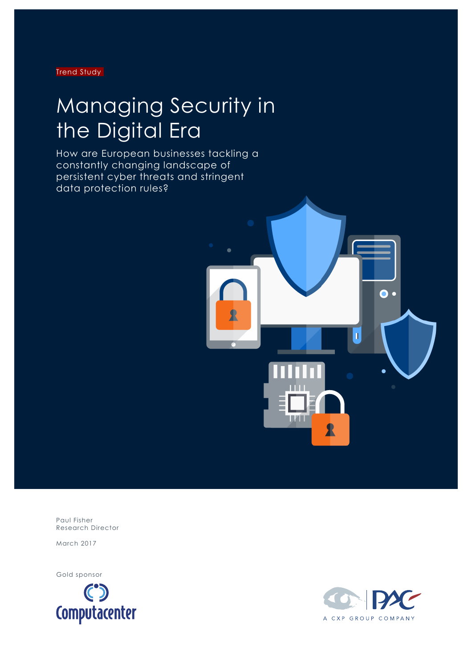Trend Study

## Managing Security in the Digital Era

How are European businesses tackling a constantly changing landscape of persistent cyber threats and stringent data protection rules?



Paul Fisher Research Director

March 2017

Gold sponsor



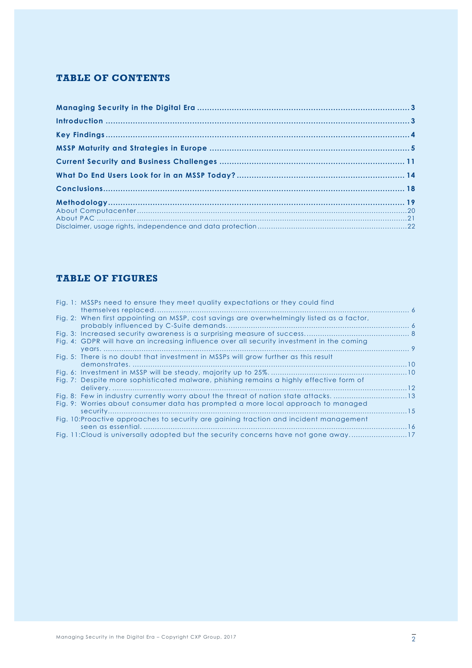#### **TABLE OF CONTENTS**

#### **TABLE OF FIGURES**

|  | Fig. 1: MSSPs need to ensure they meet quality expectations or they could find             |  |
|--|--------------------------------------------------------------------------------------------|--|
|  |                                                                                            |  |
|  | Fig. 2: When first appointing an MSSP, cost savings are overwhelmingly listed as a factor, |  |
|  |                                                                                            |  |
|  |                                                                                            |  |
|  | Fig. 4: GDPR will have an increasing influence over all security investment in the coming  |  |
|  |                                                                                            |  |
|  | Fig. 5: There is no doubt that investment in MSSPs will grow further as this result        |  |
|  |                                                                                            |  |
|  |                                                                                            |  |
|  | Fig. 7: Despite more sophisticated malware, phishing remains a highly effective form of    |  |
|  |                                                                                            |  |
|  | Fig. 8: Few in industry currently worry about the threat of nation state attacks. 13       |  |
|  | Fig. 9: Worries about consumer data has prompted a more local approach to managed          |  |
|  |                                                                                            |  |
|  | Fig. 10: Proactive approaches to security are gaining traction and incident management     |  |
|  |                                                                                            |  |
|  | Fig. 11:Cloud is universally adopted but the security concerns have not gone away17        |  |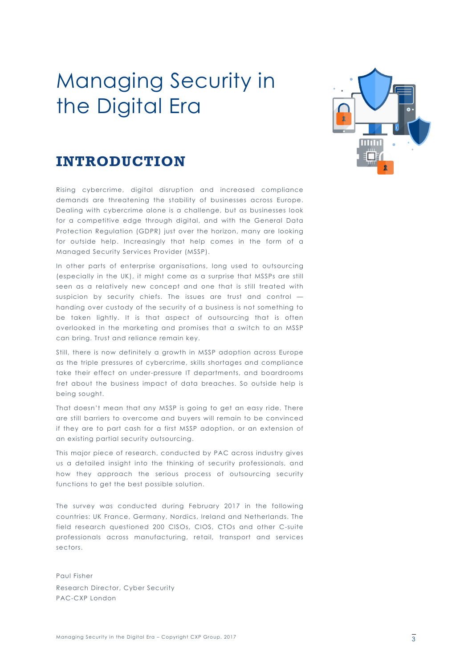## Managing Security in the Digital Era



#### **INTRODUCTION**

Rising cybercrime, digital disruption and increased compliance demands are threatening the stability of businesses across Europe. Dealing with cybercrime alone is a challenge, but as businesses look for a competitive edge through digital, and with the General Data Protection Regulation (GDPR) just over the horizon, many are looking for outside help. Increasingly that help comes in the form of a Managed Security Services Provider (MSSP).

In other parts of enterprise organisations, long used to outsourcing (especially in the UK), it might come as a surprise that MSSPs are still seen as a relatively new concept and one that is still treated with suspicion by security chiefs. The issues are trust and control handing over custody of the security of a business is not something to be taken lightly. It is that aspect of outsourcing that is often overlooked in the marketing and promises that a switch to an MSSP can bring. Trust and reliance remain key.

Still, there is now definitely a growth in MSSP adoption across Europe as the triple pressures of cybercrime, skills shortages and compliance take their effect on under-pressure IT departments, and boardrooms fret about the business impact of data breaches. So outside help is being sought.

That doesn't mean that any MSSP is going to get an easy ride. There are still barriers to overcome and buyers will remain to be convinced if they are to part cash for a first MSSP adoption, or an extension of an existing partial security outsourcing.

This major piece of research, conducted by PAC across industry gives us a detailed insight into the thinking of security professionals, and how they approach the serious process of outsourcing security functions to get the best possible solution.

The survey was conducted during February 2017 in the following countries: UK France, Germany, Nordics, Ireland and Netherlands. The field research questioned 200 CISOs, CIOS, CTOs and other C-suite professionals across manufacturing, retail, transport and services sectors.

Paul Fisher Research Director, Cyber Security PAC-CXP London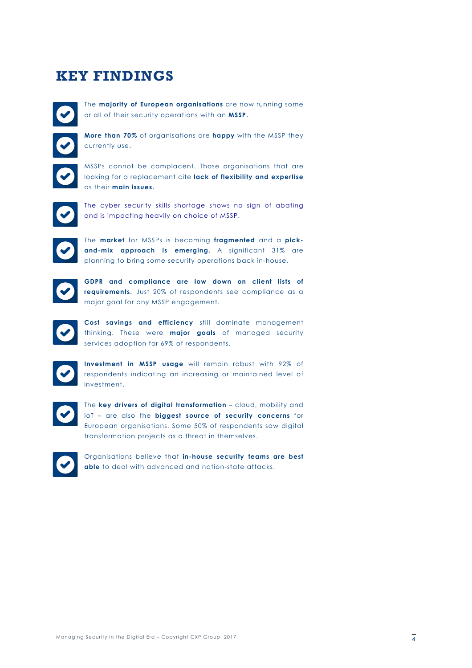### **KEY FINDINGS**

The **majority of European organisations** are now running some or all of their security operations with an **MSSP.**

**More than 70%** of organisations are **happy** with the MSSP they currently use.

MSSPs cannot be complacent. Those organisations that are looking for a replacement cite **lack of flexibility and expertise** as their **main issues.**

The cyber security skills shortage shows no sign of abating and is impacting heavily on choice of MSSP.

The **market** for MSSPs is becoming **fragmented** and a **pickand-mix approach is emerging.** A significant 31% are planning to bring some security operations back in-house.



**GDPR and compliance are low down on client lists of requirements.** Just 20% of respondents see compliance as a major goal for any MSSP engagement.

**Cost savings and efficiency** still dominate management thinking. These were **major goals** of managed security services adoption for 69% of respondents.



**Investment in MSSP usage** will remain robust with 92% of respondents indicating an increasing or maintained level of investment.



The **key drivers of digital transformation** – cloud, mobility and IoT – are also the **biggest source of security concerns** for European organisations. Some 50% of respondents saw digital transformation projects as a threat in themselves.



Organisations believe that **in-house security teams are best able** to deal with advanced and nation-state attacks.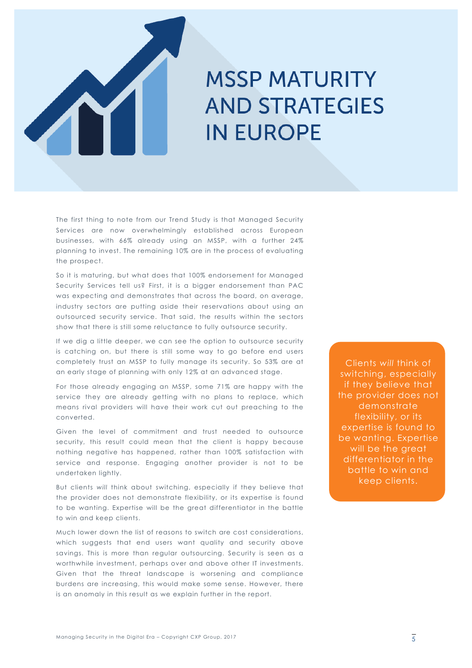

# **MSSP MATURITY IN EUROPE**

The first thing to note from our Trend Study is that Managed Security Services are now overwhelmingly established across European businesses, with 66% already using an MSSP, with a further 24% planning to invest. The remaining 10% are in the process of evaluating the prospect.

So it is maturing, but what does that 100% endorsement for Managed Security Services tell us? First, it is a bigger endorsement than PAC was expecting and demonstrates that across the board, on average, industry sectors are putting aside their reservations about using an outsourced security service. That said, the results within the sectors show that there is still some reluctance to fully outsource security.

If we dig a little deeper, we can see the option to outsource security is catching on, but there is still some way to go before end users completely trust an MSSP to fully manage its security. So 53% are at an early stage of planning with only 12% at an advanced stage.

For those already engaging an MSSP, some 71% are happy with the service they are already getting with no plans to replace, which means rival providers will have their work cut out preaching to the converted.

Given the level of commitment and trust needed to outsource security, this result could mean that the client is happy because nothing negative has happened, rather than 100% satisfaction with service and response. Engaging another provider is not to be undertaken lightly.

But clients *will* think about switching, especially if they believe that the provider does not demonstrate flexibility, or its expertise is found to be wanting. Expertise will be the great differentiator in the battle to win and keep clients.

Much lower down the list of reasons to switch are cost considerations, which suggests that end users want quality and security above savings. This is more than regular outsourcing. Security is seen as a worthwhile investment, perhaps over and above other IT investments. Given that the threat landscape is worsening and compliance burdens are increasing, this would make some sense. However, there is an anomaly in this result as we explain further in the report.

Clients *will* think of switching, especially if they believe that the provider does not demonstrate flexibility, or its expertise is found to be wanting. Expertise will be the great differentiator in the battle to win and keep clients.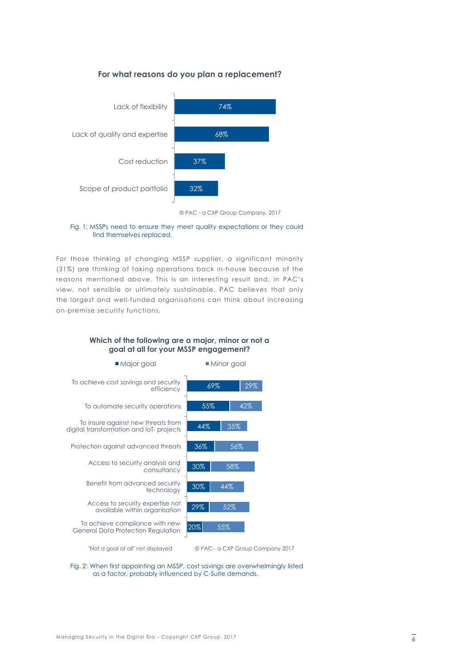#### **For what reasons do you plan a replacement?**





#### Fig. 1: MSSPs need to ensure they meet quality expectations or they could find themselves replaced.

For those thinking of changing MSSP supplier, a significant minority (31%) are thinking of taking operations back in-house because of the reasons mentioned above. This is an interesting result and, in PAC's view, not sensible or ultimately sustainable. PAC believes that only the largest and well-funded organisations can think about increasing on-premise security functions.



#### **Which of the following are a major, minor or not a goal at all for your MSSP engagement?**

"Not a goal at all" not displayed © PAC - a CXP Group Company 2017

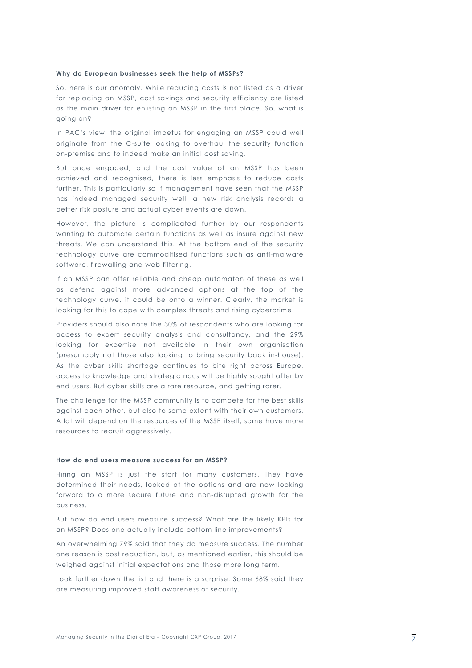#### **Why do European businesses seek the help of MSSPs?**

So, here is our anomaly. While reducing costs is not listed as a driver for replacing an MSSP, cost savings and security efficiency are listed as the main driver for enlisting an MSSP in the first place. So, what is going on?

In PAC's view, the original impetus for engaging an MSSP could well originate from the C-suite looking to overhaul the security function on-premise and to indeed make an initial cost saving.

But once engaged, and the cost value of an MSSP has been achieved and recognised, there is less emphasis to reduce costs further. This is particularly so if management have seen that the MSSP has indeed managed security well, a new risk analysis records a better risk posture and actual cyber events are down.

However, the picture is complicated further by our respondents wanting to automate certain functions as well as insure against new threats. We can understand this. At the bottom end of the security technology curve are commoditised functions such as anti-malware software, firewalling and web filtering.

If an MSSP can offer reliable and cheap automaton of these as well as defend against more advanced options at the top of the technology curve, it could be onto a winner. Clearly, the market is looking for this to cope with complex threats and rising cybercrime.

Providers should also note the 30% of respondents who are looking for access to expert security analysis and consultancy, and the 29% looking for expertise not available in their own organisation (presumably not those also looking to bring security back in-house). As the cyber skills shortage continues to bite right across Europe, access to knowledge and strategic nous will be highly sought after by end users. But cyber skills are a rare resource, and getting rarer.

The challenge for the MSSP community is to compete for the best skills against each other, but also to some extent with their own customers. A lot will depend on the resources of the MSSP itself, some have more resources to recruit aggressively.

#### **How do end users measure success for an MSSP?**

Hiring an MSSP is just the start for many customers. They have determined their needs, looked at the options and are now looking forward to a more secure future and non-disrupted growth for the business.

But how do end users measure success? What are the likely KPIs for an MSSP? Does one actually include bottom line improvements?

An overwhelming 79% said that they do measure success. The number one reason is cost reduction, but, as mentioned earlier, this should be weighed against initial expectations and those more long term.

Look further down the list and there is a surprise. Some 68% said they are measuring improved staff awareness of security.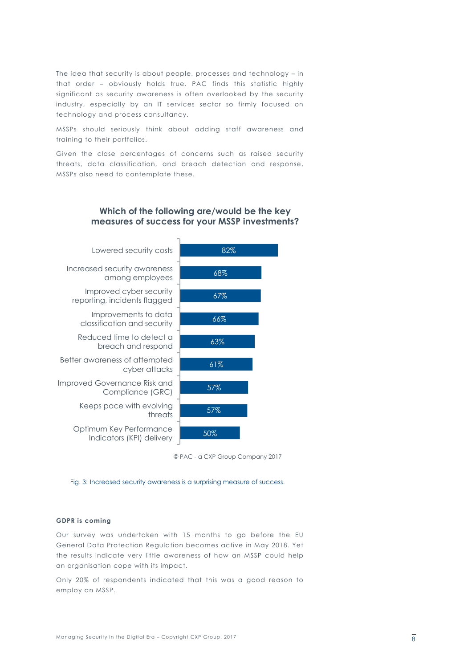The idea that security is about people, processes and technology – in that order – obviously holds true. PAC finds this statistic highly significant as security awareness is often overlooked by the security industry, especially by an IT services sector so firmly focused on technology and process consultancy.

MSSPs should seriously think about adding staff awareness and training to their portfolios.

Given the close percentages of concerns such as raised security threats, data classification, and breach detection and response, MSSPs also need to contemplate these.

#### **Which of the following are/would be the key measures of success for your MSSP investments?**



© PAC - a CXP Group Company 2017

Fig. 3: Increased security awareness is a surprising measure of success.

#### **GDPR is coming**

Our survey was undertaken with 15 months to go before the EU General Data Protection Regulation becomes active in May 2018. Yet the results indicate very little awareness of how an MSSP could help an organisation cope with its impact.

Only 20% of respondents indicated that this was a good reason to employ an MSSP.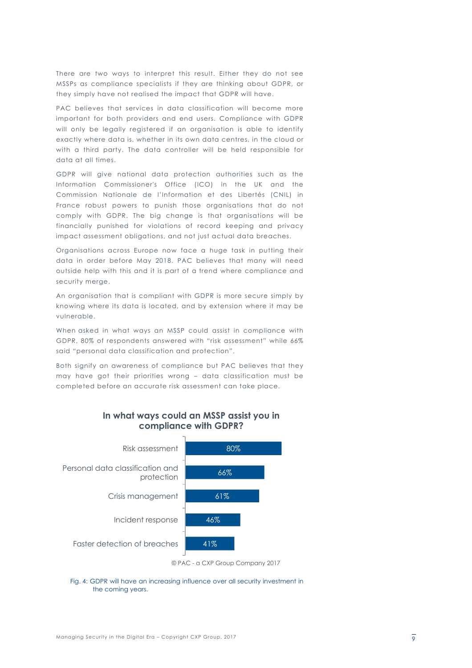There are two ways to interpret this result. Either they do not see MSSPs as compliance specialists if they are thinking about GDPR, or they simply have not realised the impact that GDPR will have.

PAC believes that services in data classification will become more important for both providers and end users. Compliance with GDPR will only be legally registered if an organisation is able to identify exactly where data is, whether in its own data centres, in the cloud or with a third party. The data controller will be held responsible for data at all times.

GDPR will give national data protection authorities such as the Information Commissioner's Office (ICO) in the UK and the Commission Nationale de l'Information et des Libertés (CNIL) in France robust powers to punish those organisations that do not comply with GDPR. The big change is that organisations will be financially punished for violations of record keeping and privacy impact assessment obligations, and not just actual data breaches.

Organisations across Europe now face a huge task in putting their data in order before May 2018. PAC believes that many will need outside help with this and it is part of a trend where compliance and security merge.

An organisation that is compliant with GDPR is more secure simply by knowing where its data is located, and by extension where it may be vulnerable.

When asked in what ways an MSSP could assist in compliance with GDPR, 80% of respondents answered with "risk assessment" while 66% said "personal data classification and protection".

Both signify an awareness of compliance but PAC believes that they may have got their priorities wrong – data classification must be completed before an accurate risk assessment can take place.



#### **In what ways could an MSSP assist you in compliance with GDPR?**

#### Fig. 4: GDPR will have an increasing influence over all security investment in the coming years.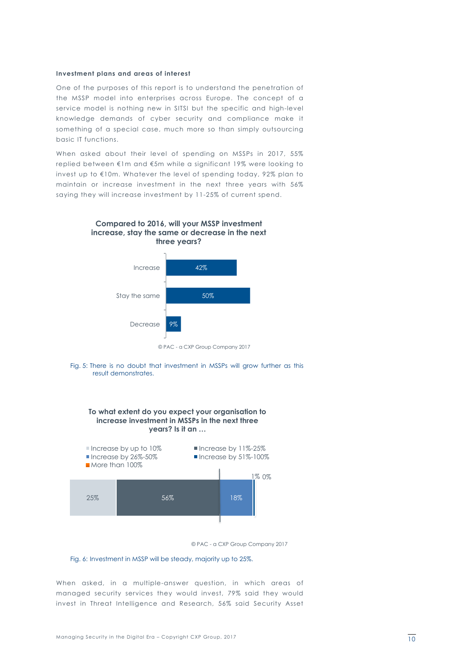#### **Investment plans and areas of interest**

One of the purposes of this report is to understand the penetration of the MSSP model into enterprises across Europe. The concept of a service model is nothing new in SITSI but the specific and high-level knowledge demands of cyber security and compliance make it something of a special case, much more so than simply outsourcing basic IT functions.

When asked about their level of spending on MSSPs in 2017, 55% replied between €1m and €5m while a significant 19% were looking to invest up to €10m. Whatever the level of spending today, 92% plan to maintain or increase investment in the next three years with 56% saying they will increase investment by 11-25% of current spend.











Fig. 6: Investment in MSSP will be steady, majority up to 25%.

When asked, in a multiple-answer question, in which areas of managed security services they would invest, 79% said they would invest in Threat Intelligence and Research, 56% said Security Asset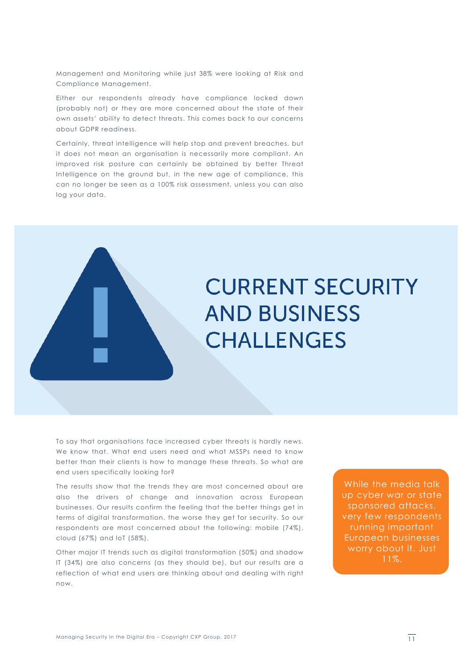Management and Monitoring while just 38% were looking at Risk and Compliance Management.

Either our respondents already have compliance locked down (probably not) or they are more concerned about the state of their own assets' ability to detect threats. This comes back to our concerns about GDPR readiness.

Certainly, threat intelligence will help stop and prevent breaches, but it does not mean an organisation is necessarily more compliant. An improved risk posture can certainly be obtained by better Threat Intelligence on the ground but, in the new age of compliance, this can no longer be seen as a 100% risk assessment, unless you can also log your data.



To say that organisations face increased cyber threats is hardly news. We know that. What end users need and what MSSPs need to know better than their clients is how to manage these threats. So what are end users specifically looking for?

The results show that the trends they are most concerned about are also the drivers of change and innovation across European businesses. Our results confirm the feeling that the better things get in terms of digital transformation, the worse they get for security. So our respondents are most concerned about the following: mobile (74%), cloud (67%) and IoT (58%).

Other major IT trends such as digital transformation (50%) and shadow IT (34%) are also concerns (as they should be), but our results are a reflection of what end users are thinking about and dealing with right now.

While the media talk up cyber war or state sponsored attacks, very few respondents running important European businesses worry about it. Just 11%.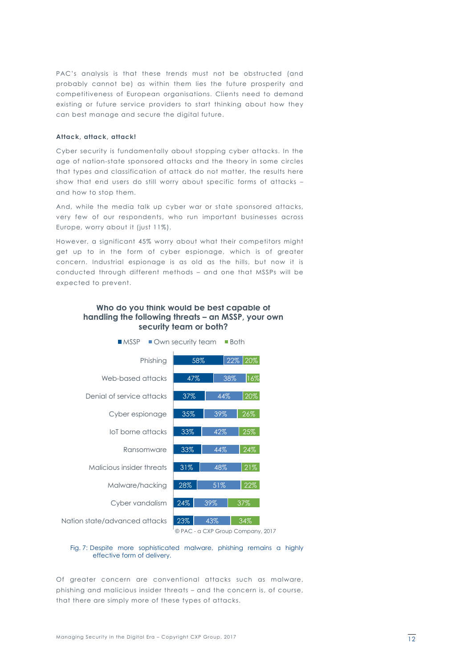PAC's analysis is that these trends must not be obstructed (and probably cannot be) as within them lies the future prosperity and competitiveness of European organisations. Clients need to demand existing or future service providers to start thinking about how they can best manage and secure the digital future.

#### **Attack, attack, attack!**

Cyber security is fundamentally about stopping cyber attacks. In the age of nation-state sponsored attacks and the theory in some circles that types and classification of attack do not matter, the results here show that end users do still worry about specific forms of attacks – and how to stop them.

And, while the media talk up cyber war or state sponsored attacks, very few of our respondents, who run important businesses across Europe, worry about it (just 11%).

However, a significant 45% worry about what their competitors might get up to in the form of cyber espionage, which is of greater concern. Industrial espionage is as old as the hills, but now it is conducted through different methods – and one that MSSPs will be expected to prevent.

#### **Who do you think would be best capable of handling the following threats – an MSSP, your own security team or both?**





#### Fig. 7: Despite more sophisticated malware, phishing remains a highly effective form of delivery.

Of greater concern are conventional attacks such as malware, phishing and malicious insider threats – and the concern is, of course, that there are simply more of these types of attacks.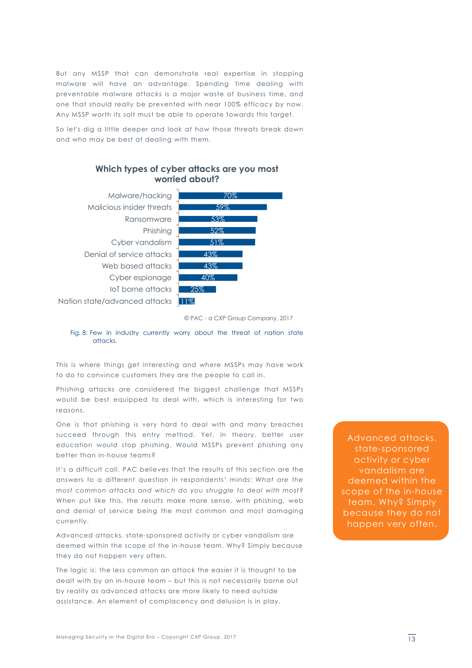But any MSSP that can demonstrate real expertise in stopping malware will have an advantage. Spending time dealing with preventable malware attacks is a major waste of business time, and one that should really be prevented with near 100% efficacy by now. Any MSSP worth its salt must be able to operate towards this target.

So let's dig a little deeper and look at how those threats break down and who may be best at dealing with them.



Fig. 8: Few in industry currently worry about the threat of nation state attacks.

This is where things get interesting and where MSSPs may have work to do to convince customers they are the people to call in.

Phishing attacks are considered the biggest challenge that MSSPs would be best equipped to deal with, which is interesting for two reasons.

One is that phishing is very hard to deal with and many breaches succeed through this entry method. Yet, in theory, better user education would stop phishing. Would MSSPs prevent phishing any better than in-house teams?

It's a difficult call. PAC believes that the results of this section are the answers to a different question in respondents' minds: *What are the most common attacks and which do you struggle to deal with most?* When put like this, the results make more sense, with phishing, web and denial of service being the most common and most damaging currently.

Advanced attacks, state-sponsored activity or cyber vandalism are deemed within the scope of the in-house team. Why? Simply because they do not happen very often.

The logic is: the less common an attack the easier it is thought to be dealt with by an in-house team – but this is not necessarily borne out by reality as advanced attacks are more likely to need outside assistance. An element of complacency and delusion is in play.

Advanced attacks, state-sponsored activity or cyber vandalism are deemed within the scope of the in-house team. Why? Simply because they do not happen very often.

<sup>©</sup> PAC - a CXP Group Company, 2017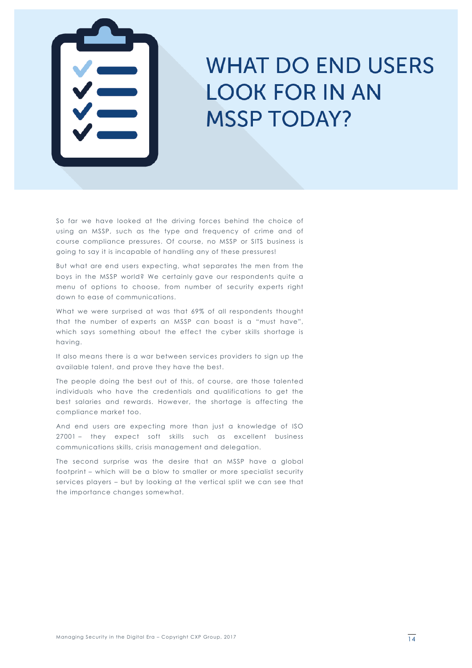

## WHAT DO END USERS MSSP TODAY?

So far we have looked at the driving forces behind the choice of using an MSSP, such as the type and frequency of crime and of course compliance pressures. Of course, no MSSP or SITS business is going to say it is incapable of handling any of these pressures!

But what are end users expecting, what separates the men from the boys in the MSSP world? We certainly gave our respondents quite a menu of options to choose, from number of security experts right down to ease of communications.

What we were surprised at was that 69% of all respondents thought that the number of experts an MSSP can boast is a "must have", which says something about the effect the cyber skills shortage is having.

It also means there is a war between services providers to sign up the available talent, and prove they have the best.

The people doing the best out of this, of course, are those talented individuals who have the credentials and qualifications to get the best salaries and rewards. However, the shortage is affecting the compliance market too.

And end users are expecting more than just a knowledge of ISO 27001 – they expect soft skills such as excellent business communications skills, crisis management and delegation.

The second surprise was the desire that an MSSP have a global footprint – which will be a blow to smaller or more specialist security services players – but by looking at the vertical split we can see that the importance changes somewhat.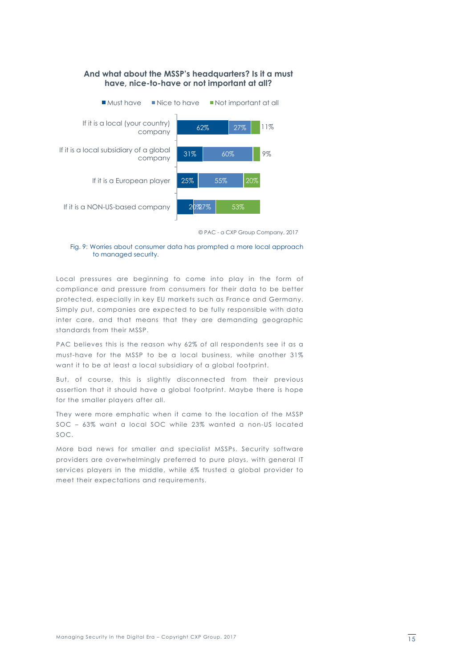

© PAC - a CXP Group Company, 2017

#### Fig. 9: Worries about consumer data has prompted a more local approach to managed security.

Local pressures are beginning to come into play in the form of compliance and pressure from consumers for their data to be better protected, especially in key EU markets such as France and Germany. Simply put, companies are expected to be fully responsible with data inter care, and that means that they are demanding geographic standards from their MSSP.

PAC believes this is the reason why 62% of all respondents see it as a must-have for the MSSP to be a local business, while another 31% want it to be at least a local subsidiary of a global footprint.

But, of course, this is slightly disconnected from their previous assertion that it should have a global footprint. Maybe there is hope for the smaller players after all.

They were more emphatic when it came to the location of the MSSP SOC – 63% want a local SOC while 23% wanted a non-US located SOC.

More bad news for smaller and specialist MSSPs. Security software providers are overwhelmingly preferred to pure plays, with general IT services players in the middle, while 6% trusted a global provider to meet their expectations and requirements.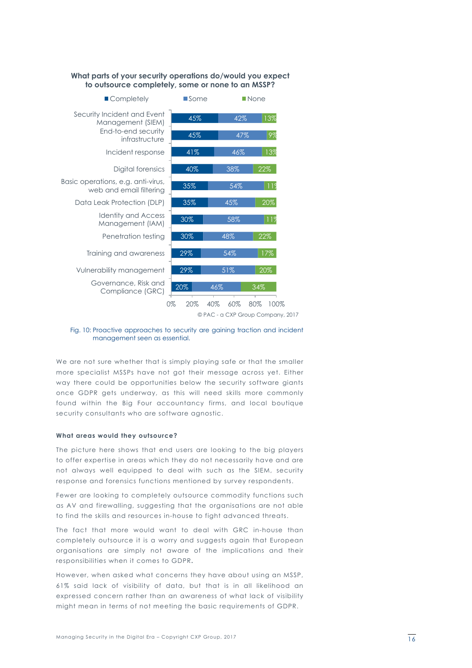#### **What parts of your security operations do/would you expect to outsource completely, some or none to an MSSP?**



Fig. 10: Proactive approaches to security are gaining traction and incident management seen as essential.

We are not sure whether that is simply playing safe or that the smaller more specialist MSSPs have not got their message across yet. Either way there could be opportunities below the security software giants once GDPR gets underway, as this will need skills more commonly found within the Big Four accountancy firms, and local boutique security consultants who are software agnostic.

#### **What areas would they outsource?**

The picture here shows that end users are looking to the big players to offer expertise in areas which they do not necessarily have and are not always well equipped to deal with such as the SIEM, security response and forensics functions mentioned by survey respondents.

Fewer are looking to completely outsource commodity functions such as AV and firewalling, suggesting that the organisations are not able to find the skills and resources in-house to fight advanced threats.

The fact that more would want to deal with GRC in-house than completely outsource it is a worry and suggests again that European organisations are simply not aware of the implications and their responsibilities when it comes to GDPR**.**

However, when asked what concerns they have about using an MSSP, 61% said lack of visibility of data, but that is in all likelihood an expressed concern rather than an awareness of what lack of visibility might mean in terms of not meeting the basic requirements of GDPR.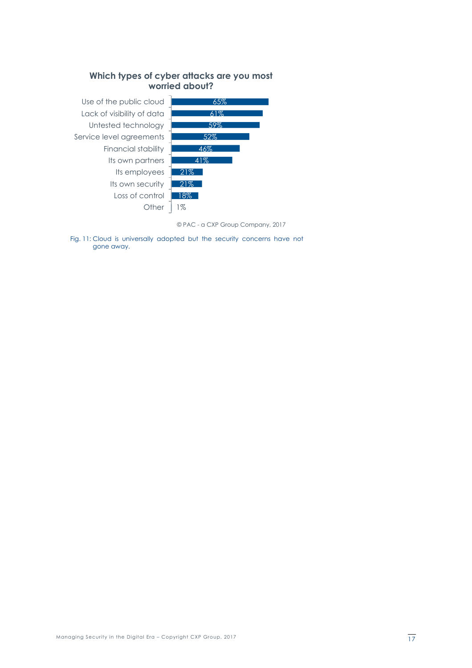



© PAC - a CXP Group Company, 2017

Fig. 11: Cloud is universally adopted but the security concerns have not gone away.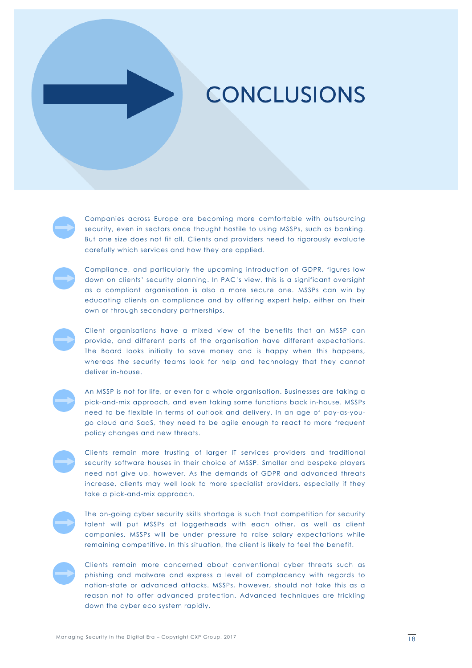### **CONCLUSIONS**

Companies across Europe are becoming more comfortable with outsourcing security, even in sectors once thought hostile to using MSSPs, such as banking. But one size does not fit all. Clients and providers need to rigorously evaluate carefully which services and how they are applied.

Compliance, and particularly the upcoming introduction of GDPR, figures low down on clients' security planning. In PAC's view, this is a significant oversight as a compliant organisation is also a more secure one. MSSPs can win by educating clients on compliance and by offering expert help, either on their own or through secondary partnerships.

Client organisations have a mixed view of the benefits that an MSSP can provide, and different parts of the organisation have different expectations. The Board looks initially to save money and is happy when this happens, whereas the security teams look for help and technology that they cannot deliver in-house.

**CONCLUSIONS** 

An MSSP is not for life, or even for a whole organisation. Businesses are taking a pick-and-mix approach, and even taking some functions back in-house. MSSPs need to be flexible in terms of outlook and delivery. In an age of pay-as-yougo cloud and SaaS, they need to be agile enough to react to more frequent policy changes and new threats.

Clients remain more trusting of larger IT services providers and traditional security software houses in their choice of MSSP. Smaller and bespoke players need not give up, however. As the demands of GDPR and advanced threats increase, clients may well look to more specialist providers, especially if they take a pick-and-mix approach.



The on-going cyber security skills shortage is such that competition for security talent will put MSSPs at loggerheads with each other, as well as client companies. MSSPs will be under pressure to raise salary expectations while remaining competitive. In this situation, the client is likely to feel the benefit.



Clients remain more concerned about conventional cyber threats such as phishing and malware and express a level of complacency with regards to nation-state or advanced attacks. MSSPs, however, should not take this as a reason not to offer advanced protection. Advanced techniques are trickling down the cyber eco system rapidly.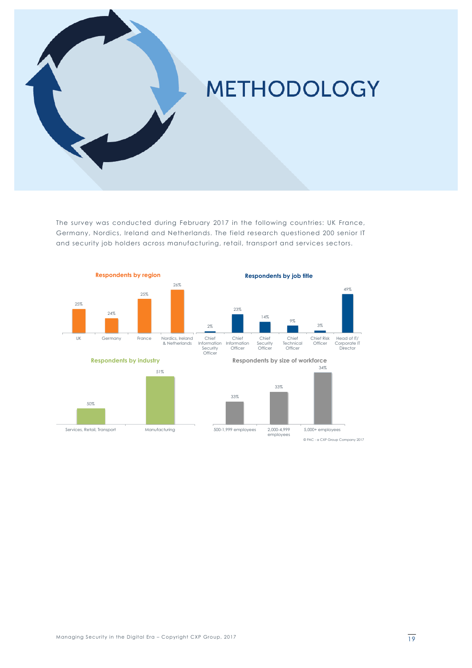

The survey was conducted during February 2017 in the following countries: UK France, Germany, Nordics, Ireland and Netherlands. The field research questioned 200 senior IT and security job holders across manufacturing, retail, transport and services sectors.

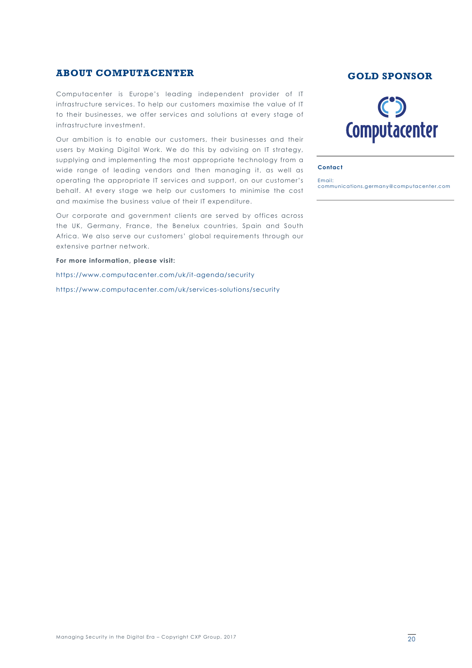#### **ABOUT COMPUTACENTER GOLD GOLD SPONSOR**

Computacenter is Europe's leading independent provider of IT infrastructure services. To help our customers maximise the value of IT to their businesses, we offer services and solutions at every stage of infrastructure investment.

Our ambition is to enable our customers, their businesses and their users by Making Digital Work. We do this by advising on IT strategy, supplying and implementing the most appropriate technology from a wide range of leading vendors and then managing it, as well as operating the appropriate IT services and support, on our customer's behalf. At every stage we help our customers to minimise the cost and maximise the business value of their IT expenditure.

Our corporate and government clients are served by offices across the UK, Germany, France, the Benelux countries, Spain and South Africa. We also serve our customers' global requirements through our extensive partner network.

**For more information, please visit:**

https://www.computacenter.com/uk/it-agenda/security

https://www.computacenter.com/uk/services-solutions/security



#### **Contact**

Email: communications.germany@computacenter.com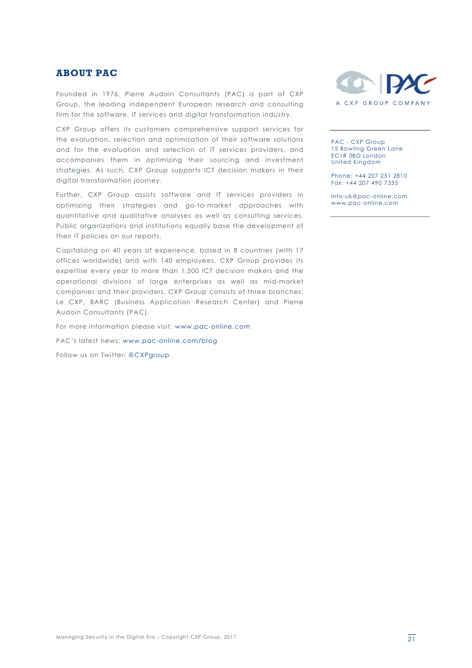#### **ABOUT PAC**

Founded in 1976, Pierre Audoin Consultants (PAC) is part of CXP Group, the leading independent European research and consulting firm for the software, IT services and digital transformation industry.

CXP Group offers its customers comprehensive support services for the evaluation, selection and optimization of their software solutions and for the evaluation and selection of IT services providers, and accompanies them in optimizing their sourcing and investment strategies. As such, CXP Group supports ICT decision makers in their digital transformation journey.

Further, CXP Group assists software and IT services providers in optimizing their strategies and go-to-market approaches with quantitative and qualitative analyses as well as consulting services. Public organizations and institutions equally base the development of their IT policies on our reports.

Capitalizing on 40 years of experience, based in 8 countries (with 17 offices worldwide) and with 140 employees, CXP Group provides its expertise every year to more than 1,500 ICT decision makers and the operational divisions of large enterprises as well as mid-market companies and their providers. CXP Group consists of three branches: Le CXP, BARC (Business Application Research Center) and Pierre Audoin Consultants (PAC).

For more information please visit: www.pac-online.com

PAC's latest news: www.pac-online.com/blog

Follow us on Twitter: @CXPgroup



PAC - CXP Group 15 Bowling Green Lane EC1R 0BD London United Kingdom

Phone: +44 207 251 2810 Fax: +44 207 490 7335

info-uk@pac-online.com www.pac-online.com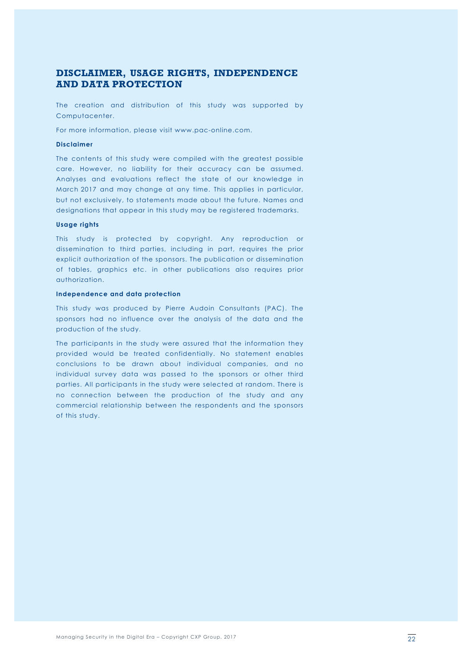#### **DISCLAIMER, USAGE RIGHTS, INDEPENDENCE AND DATA PROTECTION**

The creation and distribution of this study was supported by Computacenter.

For more information, please visit www.pac-online.com.

#### **Disclaimer**

The contents of this study were compiled with the greatest possible care. However, no liability for their accuracy can be assumed. Analyses and evaluations reflect the state of our knowledge in March 2017 and may change at any time. This applies in particular, but not exclusively, to statements made about the future. Names and designations that appear in this study may be registered trademarks.

#### **Usage rights**

This study is protected by copyright. Any reproduction or dissemination to third parties, including in part, requires the prior explicit authorization of the sponsors. The publication or dissemination of tables, graphics etc. in other publications also requires prior authorization.

#### **Independence and data protection**

This study was produced by Pierre Audoin Consultants (PAC). The sponsors had no influence over the analysis of the data and the production of the study.

The participants in the study were assured that the information they provided would be treated confidentially. No statement enables conclusions to be drawn about individual companies, and no individual survey data was passed to the sponsors or other third parties. All participants in the study were selected at random. There is no connection between the production of the study and any commercial relationship between the respondents and the sponsors of this study.